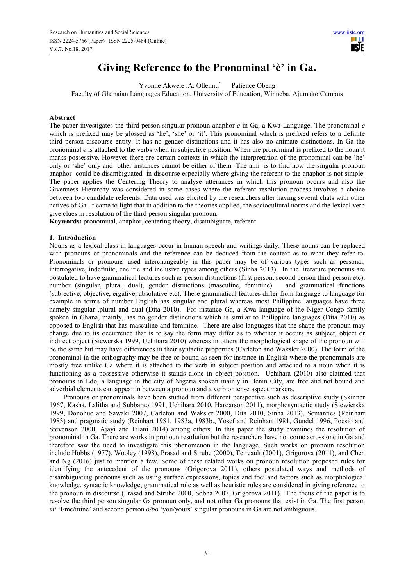# **Giving Reference to the Pronominal 'è' in Ga.**

Yvonne Akwele .A. Ollennu\* Patience Obeng Faculty of Ghanaian Languages Education, University of Education, Winneba. Ajumako Campus

## **Abstract**

The paper investigates the third person singular pronoun anaphor *e* in Ga, a Kwa Language. The pronominal *e* which is prefixed may be glossed as 'he', 'she' or 'it'. This pronominal which is prefixed refers to a definite third person discourse entity. It has no gender distinctions and it has also no animate distinctions. In Ga the pronominal *e* is attached to the verbs when in subjective position. When the pronominal is prefixed to the noun it marks possessive. However there are certain contexts in which the interpretation of the pronominal can be 'he' only or 'she' only and other instances cannot be either of them The aim is to find how the singular pronoun anaphor could be disambiguated in discourse especially where giving the referent to the anaphor is not simple. The paper applies the Centering Theory to analyse utterances in which this pronoun occurs and also the Givenness Hierarchy was considered in some cases where the referent resolution process involves a choice between two candidate referents. Data used was elicited by the researchers after having several chats with other natives of Ga. It came to light that in addition to the theories applied, the sociocultural norms and the lexical verb give clues in resolution of the third person singular pronoun.

**Keywords:** pronominal, anaphor, centering theory, disambiguate, referent

#### **1. Introduction**

Nouns as a lexical class in languages occur in human speech and writings daily. These nouns can be replaced with pronouns or pronominals and the reference can be deduced from the context as to what they refer to. Pronominals or pronouns used interchangeably in this paper may be of various types such as personal, interrogative, indefinite, enclitic and inclusive types among others (Sinha 2013). In the literature pronouns are postulated to have grammatical features such as person distinctions (first person, second person third person etc), number (singular, plural, dual), gender distinctions (masculine, feminine) and grammatical functions (subjective, objective, ergative, absolutive etc). These grammatical features differ from language to language for example in terms of number English has singular and plural whereas most Philippine languages have three namely singular ,plural and dual (Dita 2010). For instance Ga, a Kwa language of the Niger Congo family spoken in Ghana, mainly, has no gender distinctions which is similar to Philippine languages (Dita 2010) as opposed to English that has masculine and feminine. There are also languages that the shape the pronoun may change due to its occurrence that is to say the form may differ as to whether it occurs as subject, object or indirect object (Siewerska 1999, Uchihara 2010) whereas in others the morphological shape of the pronoun will be the same but may have differences in their syntactic properties (Carleton and Waksler 2000). The form of the pronominal in the orthography may be free or bound as seen for instance in English where the pronominals are mostly free unlike Ga where it is attached to the verb in subject position and attached to a noun when it is functioning as a possessive otherwise it stands alone in object position. Uchihara (2010) also claimed that pronouns in Edo, a language in the city of Nigeria spoken mainly in Benin City, are free and not bound and adverbial elements can appear in between a pronoun and a verb or tense aspect markers.

Pronouns or pronominals have been studied from different perspective such as descriptive study (Skinner 1967, Kasha, Lalitha and Subbarao 1991, Uchihara 2010, Haroarson 2011), morphosyntactic study (Siewierska 1999, Donohue and Sawaki 2007, Carleton and Waksler 2000, Dita 2010, Sinha 2013), Semantics (Reinhart 1983) and pragmatic study (Reinhart 1981, 1983a, 1983b., Yosef and Reinhart 1981, Gundel 1996, Poesio and Stevenson 2000, Ajayi and Filani 2014) among others. In this paper the study examines the resolution of pronominal in Ga. There are works in pronoun resolution but the researchers have not come across one in Ga and therefore saw the need to investigate this phenomenon in the language. Such works on pronoun resolution include Hobbs (1977), Wooley (1998), Prasad and Strube (2000), Tetreault (2001), Grigorova (2011), and Chen and Ng (2016) just to mention a few. Some of these related works on pronoun resolution proposed rules for identifying the antecedent of the pronouns (Grigorova 2011), others postulated ways and methods of disambiguating pronouns such as using surface expressions, topics and foci and factors such as morphological knowledge, syntactic knowledge, grammatical role as well as heuristic rules are considered in giving reference to the pronoun in discourse (Prasad and Strube 2000, Sobha 2007, Grigorova 2011). The focus of the paper is to resolve the third person singular Ga pronoun only, and not other Ga pronouns that exist in Ga. The first person *mi* 'I/me/mine' and second person *o/bo* 'you/yours' singular pronouns in Ga are not ambiguous.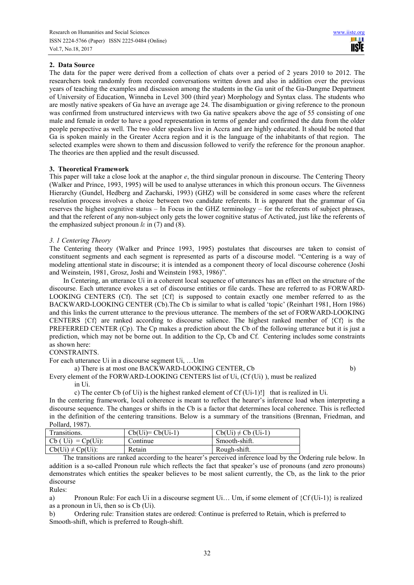# **2. Data Source**

The data for the paper were derived from a collection of chats over a period of 2 years 2010 to 2012. The researchers took randomly from recorded conversations written down and also in addition over the previous years of teaching the examples and discussion among the students in the Ga unit of the Ga-Dangme Department of University of Education, Winneba in Level 300 (third year) Morphology and Syntax class. The students who are mostly native speakers of Ga have an average age 24. The disambiguation or giving reference to the pronoun was confirmed from unstructured interviews with two Ga native speakers above the age of 55 consisting of one male and female in order to have a good representation in terms of gender and confirmed the data from the older people perspective as well. The two older speakers live in Accra and are highly educated. It should be noted that Ga is spoken mainly in the Greater Accra region and it is the language of the inhabitants of that region. The selected examples were shown to them and discussion followed to verify the reference for the pronoun anaphor. The theories are then applied and the result discussed.

# **3. Theoretical Framework**

This paper will take a close look at the anaphor *e*, the third singular pronoun in discourse. The Centering Theory (Walker and Prince, 1993, 1995) will be used to analyse utterances in which this pronoun occurs. The Givenness Hierarchy (Gundel, Hedberg and Zacharski, 1993) (GHZ) will be considered in some cases where the referent resolution process involves a choice between two candidate referents. It is apparent that the grammar of Ga reserves the highest cognitive status – In Focus in the GHZ terminology – for the referents of subject phrases, and that the referent of any non-subject only gets the lower cognitive status of Activated, just like the referents of the emphasized subject pronoun *lε* in (7) and (8).

# *3. 1 Centering Theory*

The Centering theory (Walker and Prince 1993, 1995) postulates that discourses are taken to consist of constituent segments and each segment is represented as parts of a discourse model. "Centering is a way of modeling attentional state in discourse; it is intended as a component theory of local discourse coherence (Joshi and Weinstein, 1981, Grosz, Joshi and Weinstein 1983, 1986)".

In Centering, an utterance Ui in a coherent local sequence of utterances has an effect on the structure of the discourse. Each utterance evokes a set of discourse entities or file cards. These are referred to as FORWARD-LOOKING CENTERS (Cf). The set {Cf} is supposed to contain exactly one member referred to as the BACKWARD-LOOKING CENTER (Cb).The Cb is similar to what is called 'topic' (Reinhart 1981, Horn 1986) and this links the current utterance to the previous utterance. The members of the set of FORWARD-LOOKING CENTERS {Cf} are ranked according to discourse salience. The highest ranked member of {Cf} is the PREFERRED CENTER (Cp). The Cp makes a prediction about the Cb of the following utterance but it is just a prediction, which may not be borne out. In addition to the Cp, Cb and Cf. Centering includes some constraints as shown here:

CONSTRAINTS.

For each utterance Ui in a discourse segment Ui, …Um

a) There is at most one BACKWARD-LOOKING CENTER, Cb b)

Every element of the FORWARD-LOOKING CENTERS list of Ui, (Cf (Ui) ), must be realized in Ui.

c) The center Cb (of Ui) is the highest ranked element of Cf (Ui-1)!] that is realized in Ui.

In the centering framework, local coherence is meant to reflect the hearer's inference load when interpreting a discourse sequence. The changes or shifts in the Cb is a factor that determines local coherence. This is reflected in the definition of the centering transitions. Below is a summary of the transitions (Brennan, Friedman, and Pollard, 1987).

| Transitions.           | $Cb(Ui)=Cb(Ui-1)$ | $Cb(Ui) \neq Cb(Ui-1)$ |
|------------------------|-------------------|------------------------|
| $Cb (Ui) = Cp(Ui):$    | Continue          | Smooth-shift.          |
| $Cb(Ui) \neq Cp(Ui)$ : | Retain            | Rough-shift.           |

The transitions are ranked according to the hearer's perceived inference load by the Ordering rule below. In addition is a so-called Pronoun rule which reflects the fact that speaker's use of pronouns (and zero pronouns) demonstrates which entities the speaker believes to be most salient currently, the Cb, as the link to the prior discourse

Rules:

a) Pronoun Rule: For each Ui in a discourse segment Ui… Um, if some element of {Cf (Ui-1)} is realized as a pronoun in Ui, then so is Cb (Ui).

b) Ordering rule: Transition states are ordered: Continue is preferred to Retain, which is preferred to Smooth-shift, which is preferred to Rough-shift.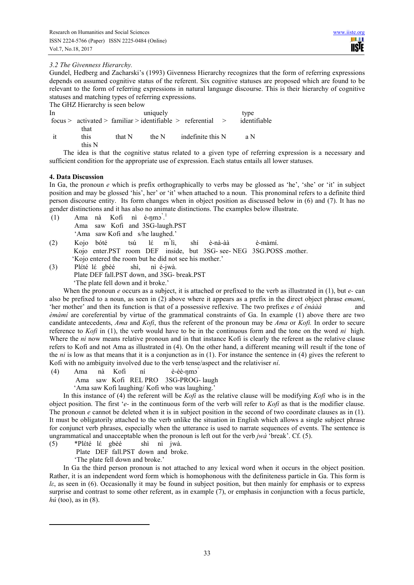# *3.2 The Givenness Hierarchy.*

Gundel, Hedberg and Zacharski's (1993) Givenness Hierarchy recognizes that the form of referring expressions depends on assumed cognitive status of the referent. Six cognitive statuses are proposed which are found to be relevant to the form of referring expressions in natural language discourse. This is their hierarchy of cognitive statuses and matching types of referring expressions.

|    | The GHZ Hierarchy is seen below |        |          |                                                             |              |
|----|---------------------------------|--------|----------|-------------------------------------------------------------|--------------|
| In |                                 |        | uniquely |                                                             | type         |
|    |                                 |        |          | $focus > activated > familiar > identifier > referential >$ | identifiable |
|    | that                            |        |          |                                                             |              |
| ıt | this                            | that N | the N    | indefinite this N                                           | a N          |
|    | this N                          |        |          |                                                             |              |
|    |                                 |        |          | 701 '1' 11 11 '1' 11 11 '11 '11 0 0 '                       |              |

The idea is that the cognitive status related to a given type of referring expression is a necessary and sufficient condition for the appropriate use of expression. Each status entails all lower statuses.

# **4. Data Discussion**

In Ga, the pronoun *e* which is prefix orthographically to verbs may be glossed as 'he', 'she' or 'it' in subject position and may be glossed 'his', her' or 'it' when attached to a noun. This pronominal refers to a definite third person discourse entity. Its form changes when in object position as discussed below in (6) and (7). It has no gender distinctions and it has also no animate distinctions. The examples below illustrate.

- $(1)$  Ama nà Kofi nì é-nmɔ<sup>'.1</sup> Ama saw Kofi and 3SG-laugh.PST 'Ama saw Kofi and s/he laughed.' (2) Kojo bόté tsú lέ m՝lì, shí è-nà-àà è-màmí.
- Kojo enter.PST room DEF inside, but 3SG- see- NEG 3SG.POSS .mother. 'Kojo entered the room but he did not see his mother.'
- (3) Plέté lέ gbèé shì, nì é-jwà. Plate DEF fall.PST down, and 3SG- break.PST 'The plate fell down and it broke.'

When the pronoun *e* occurs as a subject, it is attached or prefixed to the verb as illustrated in (1), but *e-* can also be prefixed to a noun, as seen in (2) above where it appears as a prefix in the direct object phrase *emami*, 'her mother' and then its function is that of a possessive reflexive. The two prefixes *e* of *ènààà* and *èmàmí* are coreferential by virtue of the grammatical constraints of Ga. In example (1) above there are two candidate antecedents, *Ama* and *Kofi*, thus the referent of the pronoun may be *Ama* or *Kofi.* In order to secure reference to *Kofi* in (1), the verb would have to be in the continuous form and the tone on the word *ni* high. Where the *ni* now means relative pronoun and in that instance Kofi is clearly the referent as the relative clause refers to Kofi and not Ama as illustrated in (4). On the other hand, a different meaning will result if the tone of the *ni* is low as that means that it is a conjunction as in (1). For instance the sentence in (4) gives the referent to Kofi with no ambiguity involved due to the verb tense/aspect and the relativiser *ní*.

 (4) Ama nà Kofi ní è-èè-ŋmɔ՝ Ama saw Kofi REL PRO 3SG-PROG- laugh 'Ama saw Kofi laughing/ Kofi who was laughing.'

In this instance of (4) the referent will be *Kofi* as the relative clause will be modifying *Kofi* who is in the object position. The first '*e-* in the continuous form of the verb will refer to *Kofi* as that is the modifier clause. The pronoun *e* cannot be deleted when it is in subject position in the second of two coordinate clauses as in (1). It must be obligatorily attached to the verb unlike the situation in English which allows a single subject phrase for conjunct verb phrases, especially when the utterance is used to narrate sequences of events. The sentence is ungrammatical and unacceptable when the pronoun is left out for the verb *jwà* 'break'. Cf. (5).

(5) \*Plέté lέ gbèé shì nì jwà.

Plate DEF fall.PST down and broke.

'The plate fell down and broke.'

l.

In Ga the third person pronoun is not attached to any lexical word when it occurs in the object position. Rather, it is an independent word form which is homophonous with the definiteness particle in Ga. This form is *lε*, as seen in (6). Occasionally it may be found in subject position, but then mainly for emphasis or to express surprise and contrast to some other referent, as in example (7), or emphasis in conjunction with a focus particle, *hú* (too), as in (8).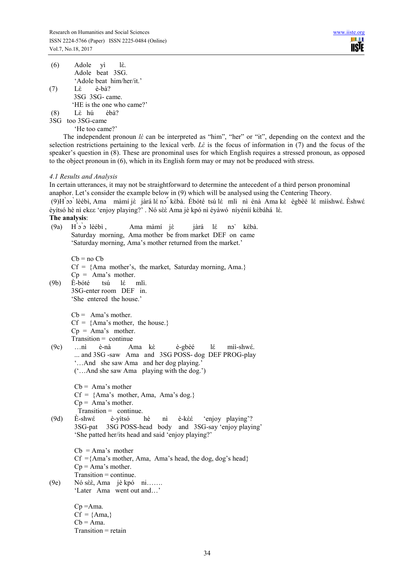| (6) | Adole yì lè.              |  |  |  |
|-----|---------------------------|--|--|--|
|     | Adole beat 3SG.           |  |  |  |
|     | 'Adole beat him/her/it.'  |  |  |  |
| (7) | Là è-bà?                  |  |  |  |
|     | 3SG 3SG-came.             |  |  |  |
|     | 'HE is the one who came?' |  |  |  |
|     | Lè hú èbà?                |  |  |  |

3SG too 3SG-came

'He too came?'

The independent pronoun *lὲ* can be interpreted as "him", "her" or "it", depending on the context and the selection restrictions pertaining to the lexical verb. *LÈ* is the focus of information in (7) and the focus of the speaker's question in (8). These are pronominal uses for which English requires a stressed pronoun, as opposed to the object pronoun in (6), which in its English form may or may not be produced with stress.

## *4.1 Results and Analysis*

In certain utterances, it may not be straightforward to determine the antecedent of a third person pronominal anaphor. Let's consider the example below in (9) which will be analysed using the Centering Theory. (9)H՝ɔɔ՝ lèébì, Ama màmí jὲ jàrá lέ nɔ՜ kὲbà. Èbόté tsú lέ mlì nì ènà Ama kὲ ègbèé lέ mììshwέ. Èshwέ èyítsό hè nì ekεε 'enjoy playing?' . Nό sὲὲ Ama jè kpό nì èyàwό níyéníí kὲbáhá lὲ.

# **The analysis**:

 (9a) H՝ɔ՝ɔ lèébì , Ama màmí jὲ jàrá lέ nɔˋ kὲbà. Saturday morning, Ama mother be from market DEF on came 'Saturday morning, Ama's mother returned from the market.'

 $Cb = no Cb$ 

 $Cf = \{Ama mother's, the market, Saturday morning, Ama.\}$  $Cp = Ama's mother.$ (9b) È-bóté tsú lέ mlì. 3SG-enter room DEF in. 'She entered the house.'

 $Cb = Ama's mother.$ 

 $Cf = \{Ama's mother, the house.\}$ 

 $Cp = Ama's$  mother.

Transition = continue

 (9c) …nì è-nà Ama kὲ è-gbèé lέ mìì-shwέ. ... and 3SG -saw Ama and 3SG POSS- dog DEF PROG-play '…And she saw Ama and her dog playing.' ('…And she saw Ama playing with the dog.')

> $Cb = Ama's mother$  $Cf = \{Ama\}$  mother, Ama, Ama's dog.}  $Cp = Ama's mother.$ Transition = continue.

 (9d) È-shwέ è-yítsó hè nì è-kὲέ 'enjoy playing'? 3SG-pat 3SG POSS-head body and 3SG-say 'enjoy playing' 'She patted her/its head and said 'enjoy playing?'

> $Cb = Ama's$  mother  $Cf = \{Ama's mother, Ama, Ama's head, the dog, dog's head\}$  $Cp = Ama's mother.$ Transition = continue.

(9e) Nó sὲὲ, Ama jè kpό ni……. 'Later Ama went out and…'

> $Cp = Ama$ .  $Cf = \{Ama\}$  $Cb = Ama$ . Transition = retain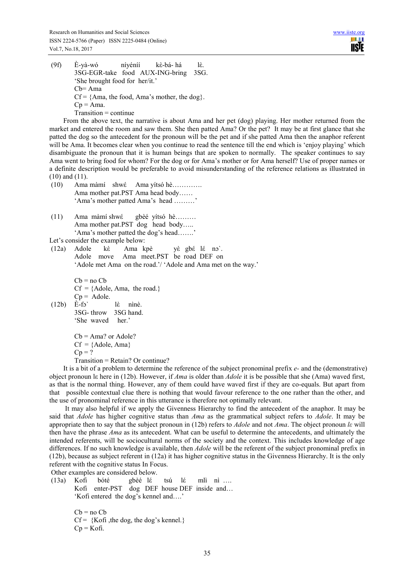(9f) È-yà-wό níyéníí kὲ-bá- há lὲ. 3SG-EGR-take food AUX-ING-bring 3SG. 'She brought food for her/it.' Cb= Ama  $Cf = \{Ama, the food, Ama's mother, the dog\}.$  $Cp = Ama$ . Transition = continue

From the above text, the narrative is about Ama and her pet (dog) playing. Her mother returned from the market and entered the room and saw them. She then patted Ama? Or the pet? It may be at first glance that she patted the dog so the antecedent for the pronoun will be the pet and if she patted Ama then the anaphor referent will be Ama. It becomes clear when you continue to read the sentence till the end which is 'enjoy playing' which disambiguate the pronoun that it is human beings that are spoken to normally. The speaker continues to say Ama went to bring food for whom? For the dog or for Ama's mother or for Ama herself? Use of proper names or a definite description would be preferable to avoid misunderstanding of the reference relations as illustrated in (10) and (11).

- (10) Ama màmí shwέ Ama yítsó hè…………. Ama mother pat.PST Ama head body…… 'Ama's mother patted Ama's head ………'
- (11) Ama màmí shwέ gbèé yítsό hè……… Ama mother pat.PST dog head body….. 'Ama's mother patted the dog's head…….'

Let's consider the example below:

 (12a) Adole kὲ Ama kpè yὲ gbέ lέ nɔˋ. Adole move Ama meet.PST be road DEF on 'Adole met Ama on the road.'/ 'Adole and Ama met on the way.'

```
Cb = no<sub>cb</sub>Cf = \{Adole, Ama, the road.\}Cp = \text{Adole}.
```
 $(12b)$   $\vec{E}$ -fɔ` lɛ̀ nìnè. 3SG- throw 3SG hand. 'She waved her.'

> $Cb = Ama?$  or  $Adole?$  $Cf = \{Adole, Ama\}$  $Cp = ?$ Transition = Retain? Or continue?

It is a bit of a problem to determine the reference of the subject pronominal prefix *e-* and the (demonstrative) object pronoun lε here in (12b). However, if *Ama* is older than *Adole* it is be possible that she (Ama) waved first, as that is the normal thing. However, any of them could have waved first if they are co-equals. But apart from that possible contextual clue there is nothing that would favour reference to the one rather than the other, and the use of pronominal reference in this utterance is therefore not optimally relevant.

 It may also helpful if we apply the Givenness Hierarchy to find the antecedent of the anaphor. It may be said that *Adole* has higher cognitive status than *Ama* as the grammatical subject refers to *Adole*. It may be appropriate then to say that the subject pronoun in (12b) refers to *Adole* and not *Ama*. The object pronoun *lε* will then have the phrase *Ama* as its antecedent. What can be useful to determine the antecedents, and ultimately the intended referents, will be sociocultural norms of the society and the context. This includes knowledge of age differences. If no such knowledge is available, then *Adole* will be the referent of the subject pronominal prefix in (12b), because as subject referent in (12a) it has higher cognitive status in the Givenness Hierarchy. It is the only referent with the cognitive status In Focus.

Other examples are considered below.

 (13a) Kofi bóté gbèé lέ tsú lέ mlì nì …. Kofi enter-PST dog DEF house DEF inside and… 'Kofi entered the dog's kennel and….'

> $Cb = no<sub>c</sub>b$  $Cf = \{Kofi, the dog, the dog's kennel.\}$  $Cp = K$ ofi.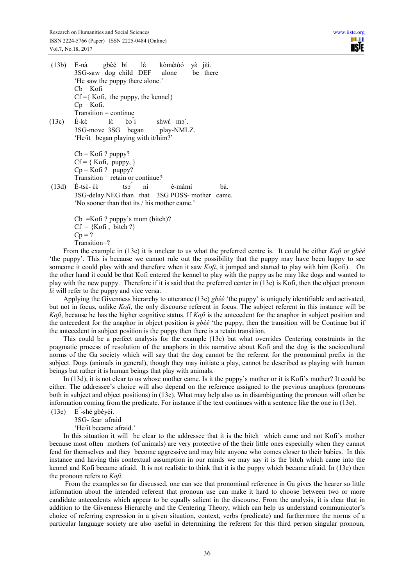(13b) E-nà gbèé bí lέ kὸmétόό yὲ jὲí. 3SG-saw dog child DEF alone be there 'He saw the puppy there alone.'  $Cb = K$ ofi  $Cf = \{ Kofi, the puppy, the kennel \}$  $Cp = K$ ofi. Transition = continue (13c)  $\hat{E}-k\hat{\epsilon}$  lè bo $\hat{i}$  shw $\hat{\epsilon}-m\hat{\epsilon}$ . 3SG-move 3SG began play-NMLZ. 'He/it began playing with it/him?'  $Cb = Kofi$  ? puppy?  $Cf = \{ Kofi, puppy, \}$  $Cp = Kofi$ ? puppy? Transition = retain or continue?  $(13d)$  È-tsề- ềề tso nì è-màmí bà. 3SG-delay.NEG than that 3SG POSS- mother came. 'No sooner than that its / his mother came.' Cb =Kofi ? puppy's mum (bitch)?

 $Cf = {Kofi, bitch ?}$  $Cp = ?$ Transition=?

From the example in (13c) it is unclear to us what the preferred centre is. It could be either *Kofi* or *gbèé* 'the puppy'. This is because we cannot rule out the possibility that the puppy may have been happy to see someone it could play with and therefore when it saw *Kofi*, it jumped and started to play with him (Kofi). On the other hand it could be that Kofi entered the kennel to play with the puppy as he may like dogs and wanted to play with the new puppy. Therefore if it is said that the preferred center in (13c) is Kofi, then the object pronoun *lὲ* will refer to the puppy and vice versa.

Applying the Givenness hierarchy to utterance (13c) *gbèé* 'the puppy' is uniquely identifiable and activated, but not in focus, unlike *Kofi*, the only discourse referent in focus. The subject referent in this instance will be *Kofi*, because he has the higher cognitive status. If *Kofi* is the antecedent for the anaphor in subject position and the antecedent for the anaphor in object position is *gbèé* 'the puppy; then the transition will be Continue but if the antecedent in subject position is the puppy then there is a retain transition.

This could be a perfect analysis for the example (13c) but what overrides Centering constraints in the pragmatic process of resolution of the anaphors in this narrative about Kofi and the dog is the sociocultural norms of the Ga society which will say that the dog cannot be the referent for the pronominal prefix in the subject. Dogs (animals in general), though they may initiate a play, cannot be described as playing with human beings but rather it is human beings that play with animals.

In (13d), it is not clear to us whose mother came. Is it the puppy's mother or it is Kofi's mother? It could be either. The addressee's choice will also depend on the reference assigned to the previous anaphors (pronouns both in subject and object positions) in (13c). What may help also us in disambiguating the pronoun will often be information coming from the predicate. For instance if the text continues with a sentence like the one in (13e).

(13e) E՜-shé gbéyèì.

3SG- fear afraid

'He/it became afraid.'

In this situation it will be clear to the addressee that it is the bitch which came and not Kofi's mother because most often mothers (of animals) are very protective of the their little ones especially when they cannot fend for themselves and they become aggressive and may bite anyone who comes closer to their babies. In this instance and having this contextual assumption in our minds we may say it is the bitch which came into the kennel and Kofi became afraid. It is not realistic to think that it is the puppy which became afraid. In (13e) then the pronoun refers to *Kofi*.

 From the examples so far discussed, one can see that pronominal reference in Ga gives the hearer so little information about the intended referent that pronoun use can make it hard to choose between two or more candidate antecedents which appear to be equally salient in the discourse. From the analysis, it is clear that in addition to the Givenness Hierarchy and the Centering Theory, which can help us understand communicator's choice of referring expression in a given situation, context, verbs (predicate) and furthermore the norms of a particular language society are also useful in determining the referent for this third person singular pronoun,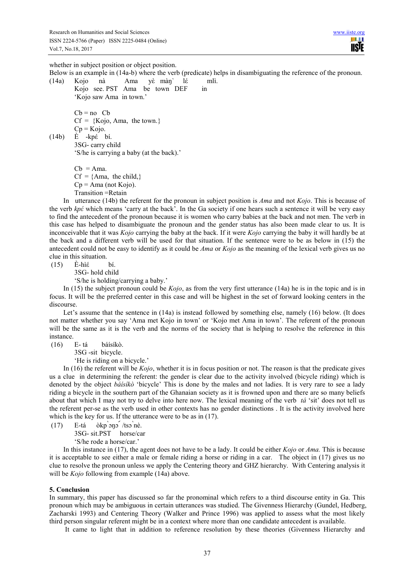ШT **TISIE** 

whether in subject position or object position.

Below is an example in (14a-b) where the verb (predicate) helps in disambiguating the reference of the pronoun. (14a) Kojo nà Ama yὲ màŋˋ lέ mlì.

Kojo see. PST Ama be town DEF in 'Kojo saw Ama in town.'

 $Cb = no$  Cb  $Cf = {Kooio, Ama, the town.}$  $Cp = Kqq$ . (14b) È -kpέ bí. 3SG- carry child

'S/he is carrying a baby (at the back).'

 $Cb = Ama$ .  $Cf = \{Ama, the child, \}$  $Cp = Ama$  (not Kojo). Transition =Retain

In utterance (14b) the referent for the pronoun in subject position is *Ama* and not *Kojo*. This is because of the verb *kpέ* which means 'carry at the back'. In the Ga society if one hears such a sentence it will be very easy to find the antecedent of the pronoun because it is women who carry babies at the back and not men. The verb in this case has helped to disambiguate the pronoun and the gender status has also been made clear to us. It is inconceivable that it was *Kojo* carrying the baby at the back. If it were *Kojo* carrying the baby it will hardly be at the back and a different verb will be used for that situation. If the sentence were to be as below in (15) the antecedent could not be easy to identify as it could be *Ama* or *Kojo* as the meaning of the lexical verb gives us no clue in this situation.

(15) È-hìέ bí.

3SG- hold child

'S/he is holding/carrying a baby.'

In (15) the subject pronoun could be *Kojo*, as from the very first utterance (14a) he is in the topic and is in focus. It will be the preferred center in this case and will be highest in the set of forward looking centers in the discourse.

Let's assume that the sentence in (14a) is instead followed by something else, namely (16) below. (It does not matter whether you say 'Ama met Kojo in town' or 'Kojo met Ama in town'. The referent of the pronoun will be the same as it is the verb and the norms of the society that is helping to resolve the reference in this instance.

(16) E- tá báísíkὸ.

3SG -sit bicycle.

'He is riding on a bicycle.'

In (16) the referent will be *Kojo*, whether it is in focus position or not. The reason is that the predicate gives us a clue in determining the referent: the gender is clear due to the activity involved (bicycle riding) which is denoted by the object *báísíkὸ* 'bicycle' This is done by the males and not ladies. It is very rare to see a lady riding a bicycle in the southern part of the Ghanaian society as it is frowned upon and there are so many beliefs about that which I may not try to delve into here now. The lexical meaning of the verb *tá* 'sit' does not tell us the referent per-se as the verb used in other contexts has no gender distinctions . It is the activity involved here which is the key for us. If the utterance were to be as in  $(17)$ .

(17) E-tá ὸkp՝ɔŋɔ՜ /tsɔ՝nè.

3SG- sit.PST horse/car

'S/he rode a horse/car.'

In this instance in (17), the agent does not have to be a lady. It could be either *Kojo* or *Ama.* This is because it is acceptable to see either a male or female riding a horse or riding in a car. The object in (17) gives us no clue to resolve the pronoun unless we apply the Centering theory and GHZ hierarchy. With Centering analysis it will be *Kojo* following from example (14a) above.

## **5. Conclusion**

In summary, this paper has discussed so far the pronominal which refers to a third discourse entity in Ga. This pronoun which may be ambiguous in certain utterances was studied. The Givenness Hierarchy (Gundel, Hedberg, Zacharski 1993) and Centering Theory (Walker and Prince 1996) was applied to assess what the most likely third person singular referent might be in a context where more than one candidate antecedent is available.

It came to light that in addition to reference resolution by these theories (Givenness Hierarchy and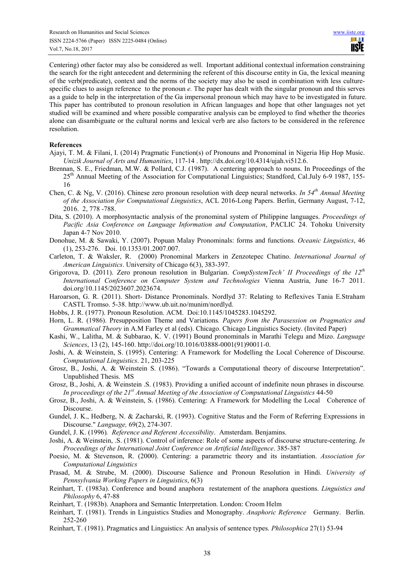Centering) other factor may also be considered as well. Important additional contextual information constraining the search for the right antecedent and determining the referent of this discourse entity in Ga, the lexical meaning of the verb(predicate), context and the norms of the society may also be used in combination with less culturespecific clues to assign reference to the pronoun *e.* The paper has dealt with the singular pronoun and this serves as a guide to help in the interpretation of the Ga impersonal pronoun which may have to be investigated in future. This paper has contributed to pronoun resolution in African languages and hope that other languages not yet studied will be examined and where possible comparative analysis can be employed to find whether the theories alone can disambiguate or the cultural norms and lexical verb are also factors to be considered in the reference resolution.

#### **References**

- Ajayi, T. M. & Filani, I. (2014) Pragmatic Function(s) of Pronouns and Pronominal in Nigeria Hip Hop Music. *Unizik Journal of Arts and Humanities*, 117-14 . http://dx.doi.org/10.4314/ujah.vi512.6.
- Brennan, S. E., Friedman, M.W. & Pollard, C.J. (1987). A centering approach to nouns. In Proceedings of the 25<sup>th</sup> Annual Meeting of the Association for Computational Linguistics; Standford, Cal.July 6-9 1987, 155-16
- Chen, C. & Ng, V. (2016). Chinese zero pronoun resolution with deep neural networks. *In 54th Annual Meeting of the Association for Computational Linguistics*, ACL 2016-Long Papers. Berlin, Germany August, 7-12, 2016. 2, 778 -788.
- Dita, S. (2010). A morphosyntactic analysis of the pronominal system of Philippine languages. *Proceedings of Pacific Asia Conference on Language Information and Computation*, PACLIC 24. Tohoku University Japan 4-7 Nov 2010.
- Donohue, M. & Sawaki, Y. (2007). Popuan Malay Pronominals: forms and functions. *Oceanic Linguistics*, 46 (1), 253-276. Doi. 10.1353/01.2007.007.
- Carleton, T. & Waksler, R. (2000) Pronominal Markers in Zenzotepec Chatino. *International Journal of American Linguistics*. University of Chicago 6(3), 383-397.
- Grigorova, D. (2011). Zero pronoun resolution in Bulgarian. *CompSystemTech' II Proceedings of the 12th International Conference on Computer System and Technologies* Vienna Austria, June 16-7 2011. doi.org/10.1145/2023607.2023674.
- Haroarson, G. R. (2011). Short- Distance Pronominals. Nordlyd 37: Relating to Reflexives Tania E.Straham CASTL Tromso. 5-38. http://www.ub.uit.no/munim/nordlyd.
- Hobbs, J. R. (1977). Pronoun Resolution. ACM. Doi:10.1145/1045283.1045292.
- Horn, L. R. (1986). Presupposition Theme and Variations*. Papers from the Parasession on Pragmatics and Grammatical Theory* in A.M Farley et al (eds). Chicago. Chicago Linguistics Society. (Invited Paper)
- Kashi, W., Lalitha, M. & Subbarao, K. V. (1991) Bound pronominals in Marathi Telegu and Mizo. *Language Sciences*, 13 (2), 145-160. http://doi.org/10.1016/03888-0001(91)90011-0.
- Joshi, A. & Weinstein, S. (1995). Centering: A Framework for Modelling the Local Coherence of Discourse. *Computational Linguistics*. 21, 203-225
- Grosz, B., Joshi, A. & Weinstein S. (1986). "Towards a Computational theory of discourse Interpretation". Unpublished Thesis. MS
- Grosz, B., Joshi, A. & Weinstein .S. (1983). Providing a unified account of indefinite noun phrases in discourse*. In proceedings of the 21st Annual Meeting of the Association of Computational Linguistics* 44-50
- Grosz, B., Joshi, A. & Weinstein, S. (1986). Centering: A Framework for Modelling the Local Coherence of Discourse.
- Gundel, J. K., Hedberg, N. & Zacharski, R. (1993). Cognitive Status and the Form of Referring Expressions in Discourse." *Language,* 69(2), 274-307.
- Gundel, J. K. (1996)*. Reference and Referent Accessibility*. Amsterdam. Benjamins.
- Joshi, A. & Weinstein, .S. (1981). Control of inference: Role of some aspects of discourse structure-centering. *In Proceedings of the International Joint Conference on Artificial Intelligence*. 385-387
- Poesio, M. & Stevenson, R. (2000). Centering: a parametric theory and its instantiation. *Association for Computational Linguistics*
- Prasad, M. & Strube, M. (2000). Discourse Salience and Pronoun Resolution in Hindi. *University of Pennsylvania Working Papers in Linguistics*, 6(3)
- Reinhart, T. (1983a). Conference and bound anaphora restatement of the anaphora questions. *Linguistics and Philosophy* 6, 47-88
- Reinhart, T. (1983b). Anaphora and Semantic Interpretation. London: Croom Helm
- Reinhart, T. (1981). Trends in Linguistics Studies and Monography. *Anaphoric Reference* Germany. Berlin. 252-260
- Reinhart, T. (1981). Pragmatics and Linguistics: An analysis of sentence types*. Philosophica* 27(1) 53-94